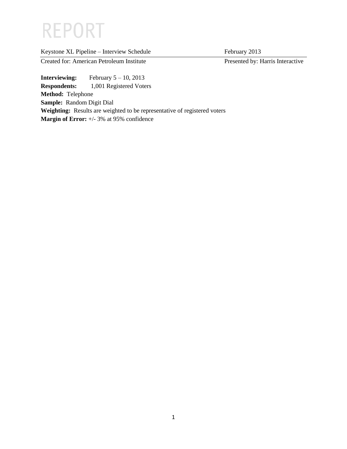# **REPORT**

| Keystone XL Pipeline - Interview Schedule |  |  |  |  |
|-------------------------------------------|--|--|--|--|
|                                           |  |  |  |  |

February 2013

Created for: American Petroleum Institute Presented by: Harris Interactive

**Interviewing:** February 5 – 10, 2013 **Respondents:** 1,001 Registered Voters **Method:** Telephone **Sample:** Random Digit Dial **Weighting:** Results are weighted to be representative of registered voters **Margin of Error:** +/- 3% at 95% confidence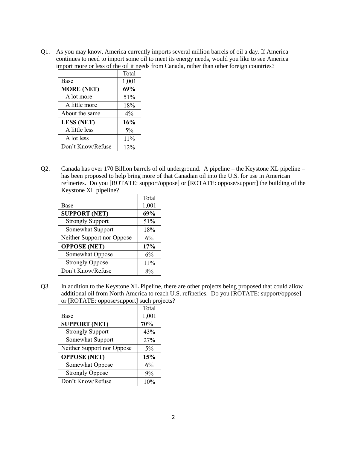Q1. As you may know, America currently imports several million barrels of oil a day. If America continues to need to import some oil to meet its energy needs, would you like to see America import more or less of the oil it needs from Canada, rather than other foreign countries?

|                   | Total |
|-------------------|-------|
| Base              | 1,001 |
| <b>MORE (NET)</b> | 69%   |
| A lot more        | 51%   |
| A little more     | 18%   |
| About the same    | $4\%$ |
| <b>LESS (NET)</b> | 16%   |
| A little less     | 5%    |
| A lot less        | 11%   |
| Don't Know/Refuse | 12%   |

Q2. Canada has over 170 Billion barrels of oil underground. A pipeline – the Keystone XL pipeline – has been proposed to help bring more of that Canadian oil into the U.S. for use in American refineries. Do you [ROTATE: support/oppose] or [ROTATE: oppose/support] the building of the Keystone XL pipeline?

|                            | Total |
|----------------------------|-------|
| Base                       | 1,001 |
| <b>SUPPORT (NET)</b>       | 69%   |
| <b>Strongly Support</b>    | 51%   |
| Somewhat Support           | 18%   |
| Neither Support nor Oppose | 6%    |
| <b>OPPOSE (NET)</b>        | 17%   |
| Somewhat Oppose            | 6%    |
| <b>Strongly Oppose</b>     | 11%   |
| Don't Know/Refuse          | 8%    |

Q3. In addition to the Keystone XL Pipeline, there are other projects being proposed that could allow additional oil from North America to reach U.S. refineries. Do you [ROTATE: support/oppose] or [ROTATE: oppose/support] such projects?

|                            | Total |
|----------------------------|-------|
| Base                       | 1,001 |
| <b>SUPPORT (NET)</b>       | 70%   |
| <b>Strongly Support</b>    | 43%   |
| Somewhat Support           | 27%   |
| Neither Support nor Oppose | $5\%$ |
| <b>OPPOSE (NET)</b>        | 15%   |
| Somewhat Oppose            | 6%    |
| <b>Strongly Oppose</b>     | 9%    |
| Don't Know/Refuse          | 10%   |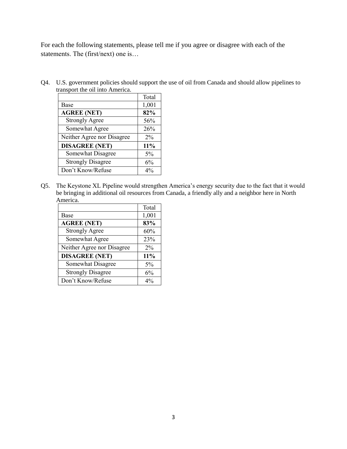For each the following statements, please tell me if you agree or disagree with each of the statements. The (first/next) one is…

Q4. U.S. government policies should support the use of oil from Canada and should allow pipelines to transport the oil into America.

|                            | Total |
|----------------------------|-------|
| Base                       | 1,001 |
| <b>AGREE (NET)</b>         | 82%   |
| <b>Strongly Agree</b>      | 56%   |
| Somewhat Agree             | 26%   |
| Neither Agree nor Disagree | 2%    |
| <b>DISAGREE (NET)</b>      | 11%   |
| Somewhat Disagree          | 5%    |
| <b>Strongly Disagree</b>   | 6%    |
| Don't Know/Refuse          | $4\%$ |

Q5. The Keystone XL Pipeline would strengthen America's energy security due to the fact that it would be bringing in additional oil resources from Canada, a friendly ally and a neighbor here in North America.

|                            | Total |
|----------------------------|-------|
| Base                       | 1,001 |
| <b>AGREE (NET)</b>         | 83%   |
| <b>Strongly Agree</b>      | 60%   |
| Somewhat Agree             | 23%   |
| Neither Agree nor Disagree | $2\%$ |
| <b>DISAGREE (NET)</b>      | 11%   |
| Somewhat Disagree          | 5%    |
| <b>Strongly Disagree</b>   | 6%    |
| Don't Know/Refuse          | $4\%$ |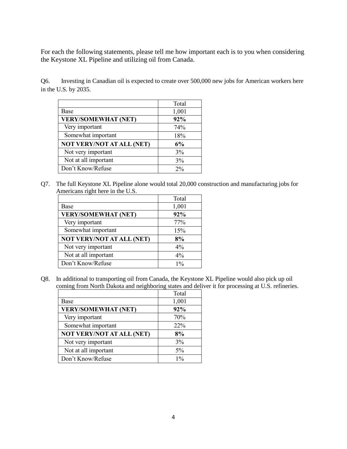For each the following statements, please tell me how important each is to you when considering the Keystone XL Pipeline and utilizing oil from Canada.

Q6. Investing in Canadian oil is expected to create over 500,000 new jobs for American workers here in the U.S. by 2035.

|                                  | Total |
|----------------------------------|-------|
| Base                             | 1,001 |
| <b>VERY/SOMEWHAT (NET)</b>       | 92%   |
| Very important                   | 74%   |
| Somewhat important               | 18%   |
| <b>NOT VERY/NOT AT ALL (NET)</b> | 6%    |
| Not very important               | 3%    |
| Not at all important             | 3%    |
| Don't Know/Refuse                | $2\%$ |

Q7. The full Keystone XL Pipeline alone would total 20,000 construction and manufacturing jobs for Americans right here in the U.S.

|                                  | Total |
|----------------------------------|-------|
| Base                             | 1,001 |
| <b>VERY/SOMEWHAT (NET)</b>       | 92%   |
| Very important                   | 77%   |
| Somewhat important               | 15%   |
| <b>NOT VERY/NOT AT ALL (NET)</b> | 8%    |
| Not very important               | $4\%$ |
| Not at all important             | $4\%$ |
| Don't Know/Refuse                | $1\%$ |

Q8. In additional to transporting oil from Canada, the Keystone XL Pipeline would also pick up oil coming from North Dakota and neighboring states and deliver it for processing at U.S. refineries.

|                                  | Total |
|----------------------------------|-------|
| Base                             | 1,001 |
| <b>VERY/SOMEWHAT (NET)</b>       | 92%   |
| Very important                   | 70%   |
| Somewhat important               | 22%   |
| <b>NOT VERY/NOT AT ALL (NET)</b> | 8%    |
| Not very important               | 3%    |
| Not at all important             | 5%    |
| Don't Know/Refuse                | $1\%$ |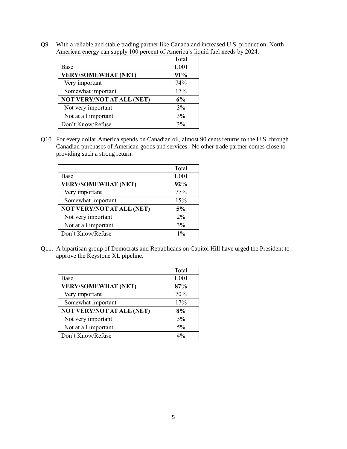Q9. With a reliable and stable trading partner like Canada and increased U.S. production, North American energy can supply 100 percent of America's liquid fuel needs by 2024.

|                                  | Total |
|----------------------------------|-------|
| Base                             | 1,001 |
| <b>VERY/SOMEWHAT (NET)</b>       | 91%   |
| Very important                   | 74%   |
| Somewhat important               | 17%   |
| <b>NOT VERY/NOT AT ALL (NET)</b> | 6%    |
| Not very important               | 3%    |
| Not at all important             | 3%    |
| Don't Know/Refuse                | 3%    |

Q10. For every dollar America spends on Canadian oil, almost 90 cents returns to the U.S. through Canadian purchases of American goods and services. No other trade partner comes close to providing such a strong return.

|                                  | Total |
|----------------------------------|-------|
| Base                             | 1,001 |
| <b>VERY/SOMEWHAT (NET)</b>       | 92%   |
| Very important                   | 77%   |
| Somewhat important               | 15%   |
| <b>NOT VERY/NOT AT ALL (NET)</b> | 5%    |
| Not very important               | $2\%$ |
| Not at all important             | 3%    |
| Don't Know/Refuse                | $1\%$ |

Q11. A bipartisan group of Democrats and Republicans on Capitol Hill have urged the President to approve the Keystone XL pipeline.

|                                  | Total |
|----------------------------------|-------|
| Base                             | 1,001 |
| <b>VERY/SOMEWHAT (NET)</b>       | 87%   |
| Very important                   | 70%   |
| Somewhat important               | 17%   |
| <b>NOT VERY/NOT AT ALL (NET)</b> | 8%    |
| Not very important               | 3%    |
| Not at all important             | 5%    |
| Don't Know/Refuse                | 40/   |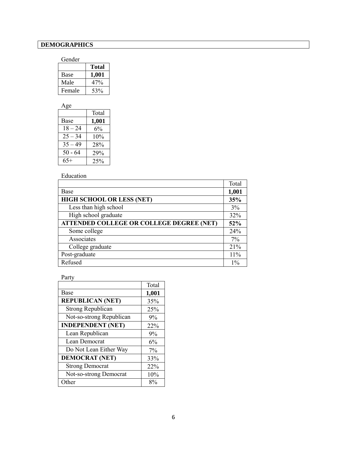# **DEMOGRAPHICS**

#### Gender

|        | <b>Total</b> |
|--------|--------------|
| Base   | 1,001        |
| Male   | 47%          |
| Female | 53%          |

| Age       |       |
|-----------|-------|
|           | Total |
| Base      | 1,001 |
| $18 - 24$ | $6\%$ |
| $25 - 34$ | 10%   |
| $35 - 49$ | 28%   |
| $50 - 64$ | 29%   |
| $65+$     | 25%   |

## Education

|                                                 | Total |
|-------------------------------------------------|-------|
| Base                                            | 1,001 |
| HIGH SCHOOL OR LESS (NET)                       | 35%   |
| Less than high school                           | 3%    |
| High school graduate                            | 32%   |
| <b>ATTENDED COLLEGE OR COLLEGE DEGREE (NET)</b> | 52%   |
| Some college                                    | 24%   |
| Associates                                      | 7%    |
| College graduate                                | 21%   |
| Post-graduate                                   | 11%   |
| Refused                                         | $1\%$ |

## Party

|                          | Total |
|--------------------------|-------|
| Base                     | 1,001 |
| <b>REPUBLICAN (NET)</b>  | 35%   |
| <b>Strong Republican</b> | 25%   |
| Not-so-strong Republican | 9%    |
| <b>INDEPENDENT (NET)</b> | 22%   |
| Lean Republican          | 9%    |
| Lean Democrat            | 6%    |
| Do Not Lean Either Way   | 7%    |
| <b>DEMOCRAT (NET)</b>    | 33%   |
| <b>Strong Democrat</b>   | 22%   |
| Not-so-strong Democrat   | 10%   |
| Other                    | 8%    |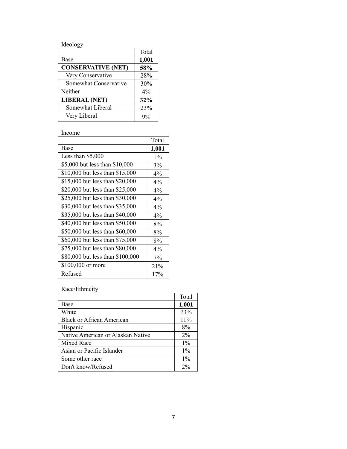Ideology

|                           | Total |
|---------------------------|-------|
| <b>Base</b>               | 1,001 |
| <b>CONSERVATIVE (NET)</b> | 58%   |
| Very Conservative         | 28%   |
| Somewhat Conservative     | 30%   |
| Neither                   | $4\%$ |
| <b>LIBERAL (NET)</b>      | 32%   |
| Somewhat Liberal          | 23%   |
| Very Liberal              |       |
|                           |       |

Income

|                                  | Total |
|----------------------------------|-------|
| Base                             | 1,001 |
| Less than $$5,000$               | $1\%$ |
| \$5,000 but less than \$10,000   | 3%    |
| \$10,000 but less than \$15,000  | $4\%$ |
| \$15,000 but less than \$20,000  | $4\%$ |
| \$20,000 but less than \$25,000  | 4%    |
| \$25,000 but less than \$30,000  | 4%    |
| \$30,000 but less than \$35,000  | $4\%$ |
| \$35,000 but less than \$40,000  | 4%    |
| \$40,000 but less than \$50,000  | 8%    |
| \$50,000 but less than \$60,000  | 8%    |
| \$60,000 but less than \$75,000  | 8%    |
| \$75,000 but less than \$80,000  | $4\%$ |
| \$80,000 but less than \$100,000 | 7%    |
| \$100,000 or more                | 21%   |
| Refused                          | 17%   |

Race/Ethnicity

|                                   | Total |
|-----------------------------------|-------|
| Base                              | 1,001 |
| White                             | 73%   |
| <b>Black or African American</b>  | 11%   |
| Hispanic                          | 8%    |
| Native American or Alaskan Native | $2\%$ |
| Mixed Race                        | $1\%$ |
| Asian or Pacific Islander         | $1\%$ |
| Some other race                   | $1\%$ |
| Don't know/Refused                | $2\%$ |